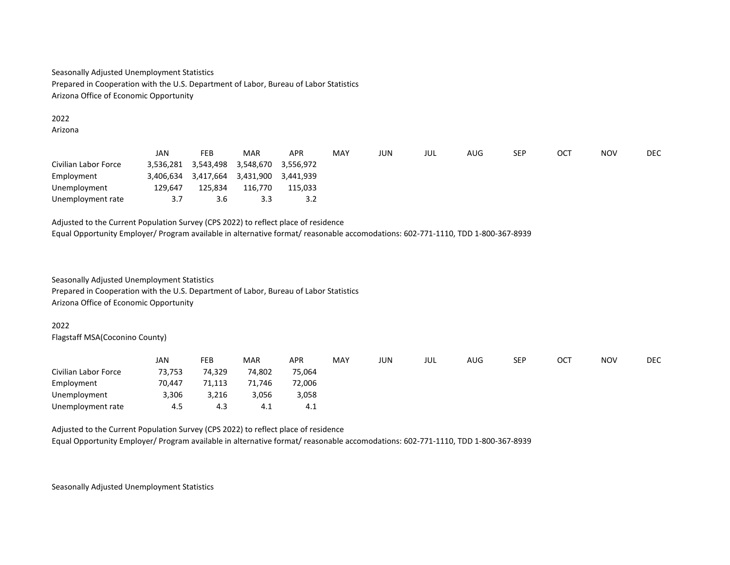Seasonally Adjusted Unemployment Statistics Prepared in Cooperation with the U.S. Department of Labor, Bureau of Labor Statistics Arizona Office of Economic Opportunity

### 2022 Arizona

|                      | JAN       | FEB                 | MAR                 | APR       | MAY | JUN | JUL | AUG | <b>SEP</b> | OC <sub>7</sub> | <b>NOV</b> | <b>DEC</b> |
|----------------------|-----------|---------------------|---------------------|-----------|-----|-----|-----|-----|------------|-----------------|------------|------------|
| Civilian Labor Force | 3,536,281 |                     | 3,543,498 3,548,670 | 3.556.972 |     |     |     |     |            |                 |            |            |
| Employment           | 3.406.634 | 3,417,664 3,431,900 |                     | 3.441.939 |     |     |     |     |            |                 |            |            |
| Unemployment         | 129,647   | 125,834             | 116,770             | 115,033   |     |     |     |     |            |                 |            |            |
| Unemployment rate    | 3.7       | 3.6                 | 3.3                 | 3.2       |     |     |     |     |            |                 |            |            |

Adjusted to the Current Population Survey (CPS 2022) to reflect place of residence Equal Opportunity Employer/ Program available in alternative format/ reasonable accomodations: 602-771-1110, TDD 1-800-367-8939

Seasonally Adjusted Unemployment Statistics Prepared in Cooperation with the U.S. Department of Labor, Bureau of Labor Statistics Arizona Office of Economic Opportunity

# 2022

Flagstaff MSA(Coconino County)

|                      | JAN    | FEB    | <b>MAR</b> | <b>APR</b> | MAY | JUN | JUL | AUG | <b>SEP</b> | ОСТ | <b>NOV</b> | <b>DEC</b> |
|----------------------|--------|--------|------------|------------|-----|-----|-----|-----|------------|-----|------------|------------|
| Civilian Labor Force | 73,753 | 74,329 | 74,802     | 75,064     |     |     |     |     |            |     |            |            |
| Employment           | 70,447 | 71,113 | 71,746     | 72,006     |     |     |     |     |            |     |            |            |
| Unemployment         | 3,306  | 3,216  | 3,056      | 3,058      |     |     |     |     |            |     |            |            |
| Unemployment rate    | 4.5    | 4.3    | 4.1        | 4.1        |     |     |     |     |            |     |            |            |

Adjusted to the Current Population Survey (CPS 2022) to reflect place of residence

Equal Opportunity Employer/ Program available in alternative format/ reasonable accomodations: 602-771-1110, TDD 1-800-367-8939

Seasonally Adjusted Unemployment Statistics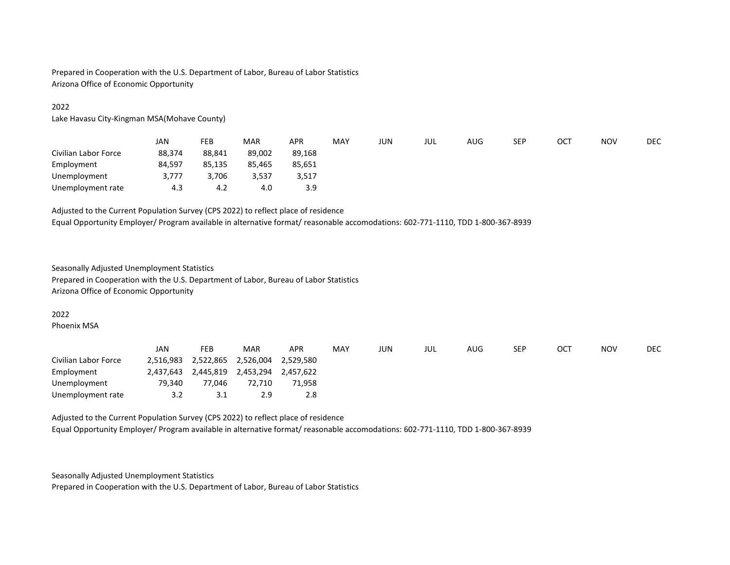Prepared in Cooperation with the U.S. Department of Labor, Bureau of Labor Statistics Arizona Office of Economic Opportunity

# 2022

Lake Havasu City-Kingman MSA(Mohave County)

|                      | JAN    | FEB    | MAR    | APR    | MAY | JUN | JUL | AUG | <b>SEP</b> | ОСТ | <b>NOV</b> | DEC |
|----------------------|--------|--------|--------|--------|-----|-----|-----|-----|------------|-----|------------|-----|
| Civilian Labor Force | 88.374 | 88.841 | 89,002 | 89,168 |     |     |     |     |            |     |            |     |
| Employment           | 84,597 | 85,135 | 85,465 | 85,651 |     |     |     |     |            |     |            |     |
| Unemployment         | 3,777  | 3,706  | 3,537  | 3,517  |     |     |     |     |            |     |            |     |
| Unemployment rate    | 4.3    | 4.2    | 4.0    | 3.9    |     |     |     |     |            |     |            |     |

# Adjusted to the Current Population Survey (CPS 2022) to reflect place of residence

Equal Opportunity Employer/ Program available in alternative format/ reasonable accomodations: 602-771-1110, TDD 1-800-367-8939

### Seasonally Adjusted Unemployment Statistics

Prepared in Cooperation with the U.S. Department of Labor, Bureau of Labor Statistics Arizona Office of Economic Opportunity

### 2022

Phoenix MSA

|                      | JAN       | FEB       | MAR       | APR       | MAY | JUN | JUL | AUG | <b>SEP</b> | OCT | <b>NOV</b> | DEC |
|----------------------|-----------|-----------|-----------|-----------|-----|-----|-----|-----|------------|-----|------------|-----|
| Civilian Labor Force | 2,516,983 | 2,522,865 | 2,526,004 | 2.529.580 |     |     |     |     |            |     |            |     |
| Employment           | 2,437,643 | 2,445,819 | 2,453,294 | 2,457,622 |     |     |     |     |            |     |            |     |
| Unemployment         | 79.340    | 77.046    | 72.710    | 71,958    |     |     |     |     |            |     |            |     |
| Unemployment rate    | 3.2       | 3.1       | 2.9       | 2.8       |     |     |     |     |            |     |            |     |

Adjusted to the Current Population Survey (CPS 2022) to reflect place of residence Equal Opportunity Employer/ Program available in alternative format/ reasonable accomodations: 602-771-1110, TDD 1-800-367-8939

Seasonally Adjusted Unemployment Statistics

Prepared in Cooperation with the U.S. Department of Labor, Bureau of Labor Statistics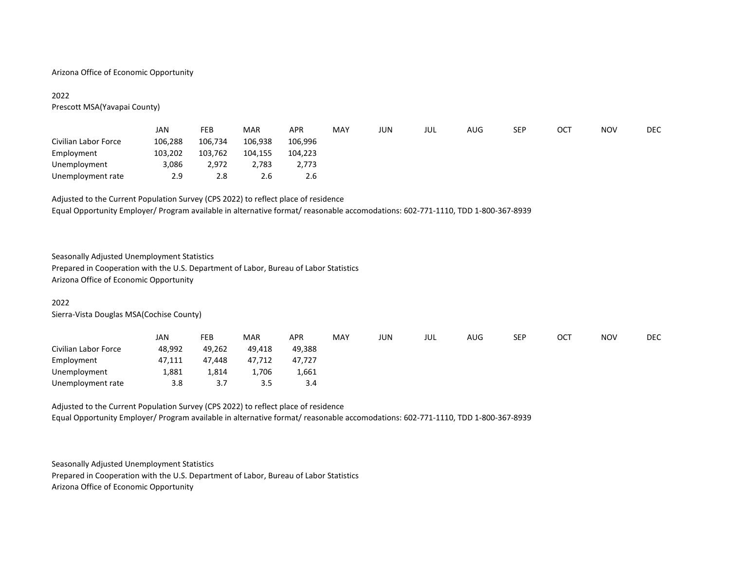### Arizona Office of Economic Opportunity

# 2022

Prescott MSA(Yavapai County)

|                      | JAN     | FEB     | <b>MAR</b> | <b>APR</b> | MAY | JUN | JUL | AUG | <b>SEP</b> | ост | <b>NOV</b> | <b>DEC</b> |
|----------------------|---------|---------|------------|------------|-----|-----|-----|-----|------------|-----|------------|------------|
| Civilian Labor Force | 106,288 | 106,734 | 106,938    | 106,996    |     |     |     |     |            |     |            |            |
| Employment           | 103,202 | 103,762 | 104,155    | 104,223    |     |     |     |     |            |     |            |            |
| Unemployment         | 3,086   | 2,972   | 2,783      | 2,773      |     |     |     |     |            |     |            |            |
| Unemployment rate    | 2.9     | 2.8     | 2.6        | 2.6        |     |     |     |     |            |     |            |            |

# Adjusted to the Current Population Survey (CPS 2022) to reflect place of residence

Equal Opportunity Employer/ Program available in alternative format/ reasonable accomodations: 602-771-1110, TDD 1-800-367-8939

# Seasonally Adjusted Unemployment Statistics

Prepared in Cooperation with the U.S. Department of Labor, Bureau of Labor Statistics Arizona Office of Economic Opportunity

### 2022

Sierra-Vista Douglas MSA(Cochise County)

|                      | JAN    | FEB       | <b>MAR</b> | APR    | MAY | JUN | JUL | AUG | SEP | ОСТ | <b>NOV</b> | <b>DEC</b> |
|----------------------|--------|-----------|------------|--------|-----|-----|-----|-----|-----|-----|------------|------------|
| Civilian Labor Force | 48,992 | 49,262    | 49,418     | 49,388 |     |     |     |     |     |     |            |            |
| Employment           | 47,111 | 47.448    | 47,712     | 47,727 |     |     |     |     |     |     |            |            |
| Unemployment         | 1,881  | 1,814     | 1,706      | 1,661  |     |     |     |     |     |     |            |            |
| Unemployment rate    | 3.8    | <u>.,</u> | 3.5        | 3.4    |     |     |     |     |     |     |            |            |

Adjusted to the Current Population Survey (CPS 2022) to reflect place of residence Equal Opportunity Employer/ Program available in alternative format/ reasonable accomodations: 602-771-1110, TDD 1-800-367-8939

Seasonally Adjusted Unemployment Statistics

Prepared in Cooperation with the U.S. Department of Labor, Bureau of Labor Statistics

Arizona Office of Economic Opportunity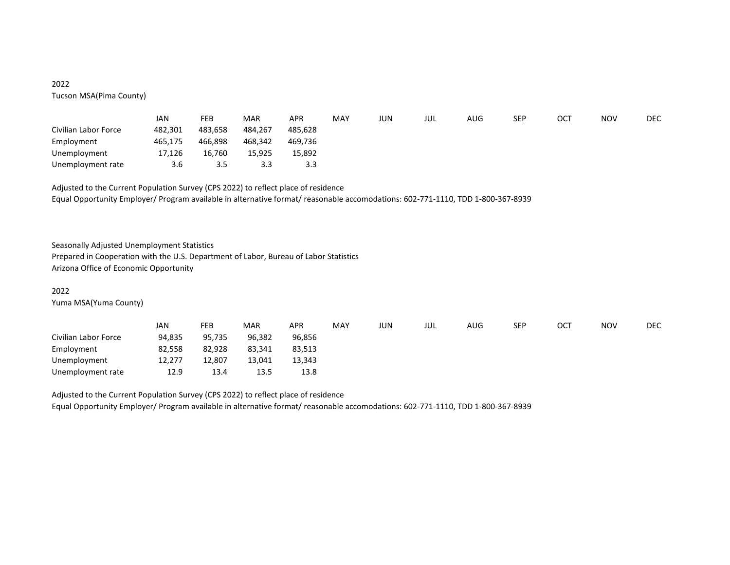# 2022 Tucson MSA(Pima County)

|                      | JAN     | FEB     | <b>MAR</b> | APR     | MAY | JUN | JUL | AUG | SEP | ост | <b>NOV</b> | <b>DEC</b> |
|----------------------|---------|---------|------------|---------|-----|-----|-----|-----|-----|-----|------------|------------|
| Civilian Labor Force | 482,301 | 483,658 | 484.267    | 485.628 |     |     |     |     |     |     |            |            |
| Employment           | 465.175 | 466.898 | 468,342    | 469.736 |     |     |     |     |     |     |            |            |
| Unemployment         | 17,126  | 16.760  | 15.925     | 15,892  |     |     |     |     |     |     |            |            |
| Unemployment rate    | 3.6     | 3.5     | 3.3        | 3.3     |     |     |     |     |     |     |            |            |

Adjusted to the Current Population Survey (CPS 2022) to reflect place of residence Equal Opportunity Employer/ Program available in alternative format/ reasonable accomodations: 602-771-1110, TDD 1-800-367-8939

Seasonally Adjusted Unemployment Statistics

Prepared in Cooperation with the U.S. Department of Labor, Bureau of Labor Statistics Arizona Office of Economic Opportunity

### 2022

Yuma MSA(Yuma County)

|                      | JAN    | FEB    | <b>MAR</b> | APR    | <b>MAY</b> | JUN | jul | AUG | SEP | OCT | <b>NOV</b> | <b>DEC</b> |
|----------------------|--------|--------|------------|--------|------------|-----|-----|-----|-----|-----|------------|------------|
| Civilian Labor Force | 94,835 | 95,735 | 96,382     | 96,856 |            |     |     |     |     |     |            |            |
| Employment           | 82,558 | 82,928 | 83,341     | 83,513 |            |     |     |     |     |     |            |            |
| Unemployment         | 12,277 | 12.807 | 13,041     | 13,343 |            |     |     |     |     |     |            |            |
| Unemployment rate    | 12.9   | 13.4   | 13.5       | 13.8   |            |     |     |     |     |     |            |            |

Adjusted to the Current Population Survey (CPS 2022) to reflect place of residence

Equal Opportunity Employer/ Program available in alternative format/ reasonable accomodations: 602-771-1110, TDD 1-800-367-8939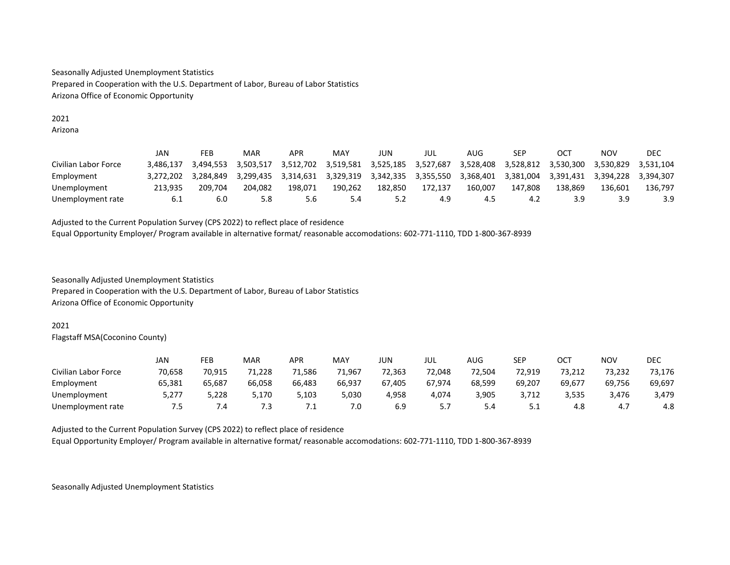Seasonally Adjusted Unemployment Statistics Prepared in Cooperation with the U.S. Department of Labor, Bureau of Labor Statistics Arizona Office of Economic Opportunity

### 2021 Arizona

|                      | JAN       | FEB       | MAR       | <b>APR</b> | MAY       | JUN                 | JUL     | AUG       | SEP       | <b>OCT</b> | NOV       | DEC       |
|----------------------|-----------|-----------|-----------|------------|-----------|---------------------|---------|-----------|-----------|------------|-----------|-----------|
| Civilian Labor Force | 3.486.137 | 3.494.553 | 3.503.517 | 3.512.702  | 3.519.581 | 3,525,185 3,527,687 |         | 3.528.408 | 3.528.812 | 3.530.300  | 3.530.829 | 3.531.104 |
| Employment           | 3.272.202 | 3.284.849 | 3.299.435 | 3.314.631  | 3,329,319 | 3,342,335 3,355,550 |         | 3.368.401 | 3.381.004 | 3.391.431  | 3.394.228 | 3.394.307 |
| Unemployment         | 213.935   | 209.704   | 204.082   | 198.071    | 190.262   | 182.850             | 172.137 | 160.007   | 147.808   | 138.869    | 136.601   | 136.797   |
| Unemployment rate    | b.1       | 6.0       | 5.8       | 5.6        | 5.4       |                     | 4.9     | 4.5       | 4.2       | 3.9        | 3.9       | 3.9       |

Adjusted to the Current Population Survey (CPS 2022) to reflect place of residence Equal Opportunity Employer/ Program available in alternative format/ reasonable accomodations: 602-771-1110, TDD 1-800-367-8939

Seasonally Adjusted Unemployment Statistics

Prepared in Cooperation with the U.S. Department of Labor, Bureau of Labor Statistics Arizona Office of Economic Opportunity

# 2021

Flagstaff MSA(Coconino County)

|                      | JAN    | FEB    | <b>MAR</b> | APR    | MAY    | JUN    | JUL    | AUG    | SEP      | ост    | <b>NOV</b> | <b>DEC</b> |
|----------------------|--------|--------|------------|--------|--------|--------|--------|--------|----------|--------|------------|------------|
| Civilian Labor Force | 70.658 | 70.915 | 71.228     | 71.586 | 71.967 | 72.363 | 72.048 | 72,504 | 72.919   | 73.212 | 73,232     | 73,176     |
| Employment           | 65.381 | 65,687 | 66.058     | 66.483 | 66.937 | 67.405 | 67.974 | 68.599 | 69.207   | 69,677 | 69.756     | 69,697     |
| Unemployment         | 5,277  | 5,228  | 5.170      | 5.103  | 5,030  | 4,958  | 4.074  | 3,905  | 3.712    | 3.535  | 3.476      | 3,479      |
| Unemployment rate    | 7.5    | 7.4    | 7.3        | ـ .    | 7.0    | 6.9    |        | 5.4    | <u>.</u> | 4.8    | 4.,        | 4.8        |

Adjusted to the Current Population Survey (CPS 2022) to reflect place of residence

Equal Opportunity Employer/ Program available in alternative format/ reasonable accomodations: 602-771-1110, TDD 1-800-367-8939

Seasonally Adjusted Unemployment Statistics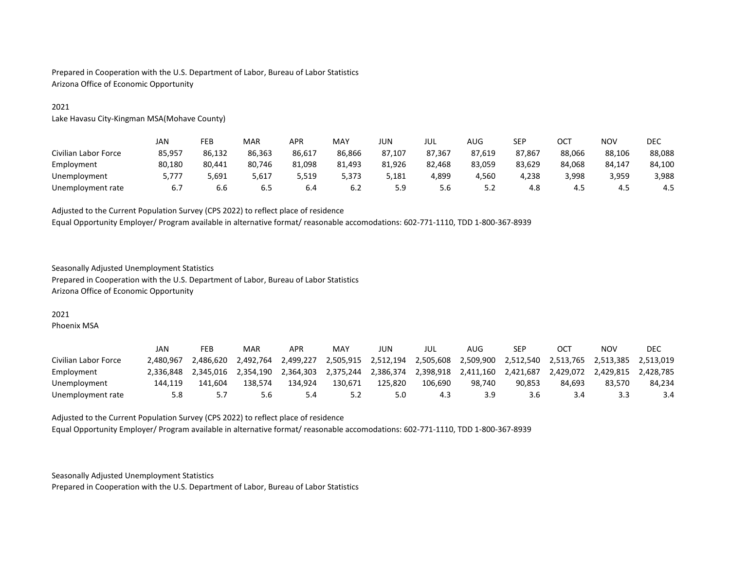Prepared in Cooperation with the U.S. Department of Labor, Bureau of Labor Statistics Arizona Office of Economic Opportunity

### 2021

Lake Havasu City-Kingman MSA(Mohave County)

|                      | JAN    | FEB    | <b>MAR</b> | APR    | MAY    | JUN    | jul    | AUG    | <b>SEP</b> | OCT    | <b>NOV</b> | <b>DEC</b> |
|----------------------|--------|--------|------------|--------|--------|--------|--------|--------|------------|--------|------------|------------|
| Civilian Labor Force | 85,957 | 86.132 | 86.363     | 86.617 | 86.866 | 87.107 | 87.367 | 87.619 | 87.867     | 88.066 | 88.106     | 88,088     |
| Employment           | 80.180 | 80.441 | 80.746     | 81.098 | 81,493 | 81.926 | 82.468 | 83,059 | 83,629     | 84.068 | 84.147     | 84,100     |
| Unemployment         | 5.777  | 5,691  | 5,617      | 5,519  | 5.373  | 5,181  | 4.899  | 4,560  | 4,238      | 3,998  | 3,959      | 3,988      |
| Unemployment rate    | 6.7    | 6.6    | 6.5        | 6.4    | 6.2    | 5.9    | 5.6    | 5.2    | 4.8        | 4.5    | 4.5        | 4.5        |

Adjusted to the Current Population Survey (CPS 2022) to reflect place of residence

Equal Opportunity Employer/ Program available in alternative format/ reasonable accomodations: 602-771-1110, TDD 1-800-367-8939

### Seasonally Adjusted Unemployment Statistics

Prepared in Cooperation with the U.S. Department of Labor, Bureau of Labor Statistics Arizona Office of Economic Opportunity

### 2021

Phoenix MSA

|                      | JAN       | FEB       | MAR       | APR       | MAY       | JUN       | JUL       | AUG       | SEP       | OCT       | <b>NOV</b> | DEC       |
|----------------------|-----------|-----------|-----------|-----------|-----------|-----------|-----------|-----------|-----------|-----------|------------|-----------|
| Civilian Labor Force | 2.480.967 | 2.486.620 | 2.492.764 | 2.499.227 | 2.505.915 | 2,512,194 | 2,505,608 | 2,509,900 | 2,512,540 | 2,513,765 | 2.513.385  | 2.513.019 |
| Employment           | 2.336.848 | 2.345.016 | 2.354.190 | 2.364.303 | 2.375.244 | 2.386.374 | 2.398.918 | 2.411.160 | 2.421.687 | 2.429.072 | 2.429.815  | 2.428.785 |
| Unemployment         | 144.119   | 141.604   | 138.574   | 134.924   | 130.671   | 125.820   | 106.690   | 98.740    | 90.853    | 84.693    | 83.570     | 84.234    |
| Unemployment rate    | 5.8       | 5.7       | 5.6       | 5.4       | 5.2       | 5.0       | 4.3       | 3.9       | 3.6       | 3.4       | 3.3        | 3.4       |

Adjusted to the Current Population Survey (CPS 2022) to reflect place of residence Equal Opportunity Employer/ Program available in alternative format/ reasonable accomodations: 602-771-1110, TDD 1-800-367-8939

Seasonally Adjusted Unemployment Statistics

Prepared in Cooperation with the U.S. Department of Labor, Bureau of Labor Statistics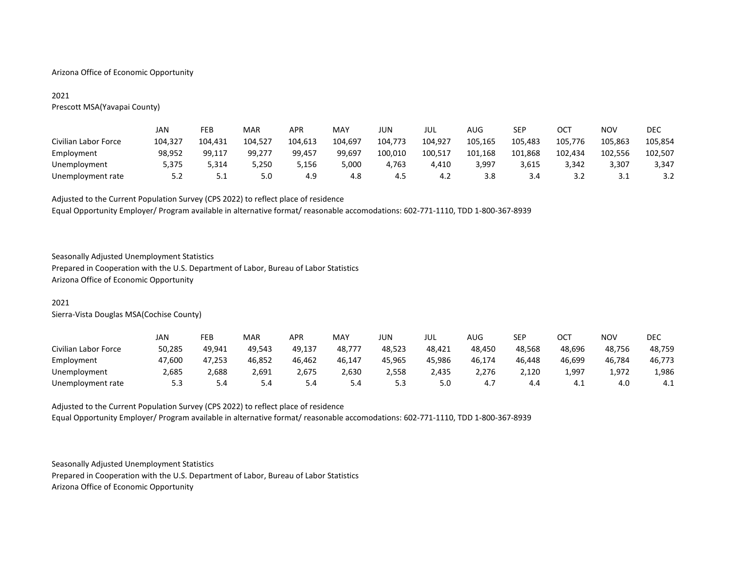### Arizona Office of Economic Opportunity

# 2021

Prescott MSA(Yavapai County)

|                      | JAN     | FEB     | <b>MAR</b> | <b>APR</b> | MAY     | JUN     | jul     | AUG     | SEP     | OC <sub>1</sub> | <b>NOV</b> | DEC     |
|----------------------|---------|---------|------------|------------|---------|---------|---------|---------|---------|-----------------|------------|---------|
| Civilian Labor Force | 104.327 | 104.431 | 104.527    | 104.613    | 104.697 | 104.773 | 104.927 | 105.165 | 105.483 | 105.776         | 105.863    | 105.854 |
| Employment           | 98,952  | 99,117  | 99,277     | 99.457     | 99,697  | 100,010 | 100,517 | 101,168 | 101,868 | 102,434         | 102,556    | 102,507 |
| Unemployment         | 5,375   | 5.314   | 5.250      | 5,156      | 5,000   | 4.763   | 4,410   | 3,997   | 3,615   | 3.342           | 3,307      | 3,347   |
| Unemployment rate    | 5.2     | 5.1     | 5.0        | 4.9        | 4.8     | -4.5    | 4.2     | 3.8     | 3.4     | 3.2             | 3.1        | 3.2     |

Adjusted to the Current Population Survey (CPS 2022) to reflect place of residence

Equal Opportunity Employer/ Program available in alternative format/ reasonable accomodations: 602-771-1110, TDD 1-800-367-8939

# Seasonally Adjusted Unemployment Statistics

Prepared in Cooperation with the U.S. Department of Labor, Bureau of Labor Statistics Arizona Office of Economic Opportunity

### 2021

Sierra-Vista Douglas MSA(Cochise County)

|                      | JAN    | FEB    | <b>MAR</b> | APR    | MAY    | JUN    | JUL    | AUG    | SEP    | <b>OCT</b> | <b>NOV</b> | <b>DEC</b> |
|----------------------|--------|--------|------------|--------|--------|--------|--------|--------|--------|------------|------------|------------|
| Civilian Labor Force | 50,285 | 49,941 | 49.543     | 49.137 | 48,777 | 48.523 | 48.421 | 48.450 | 48,568 | 48.696     | 48.756     | 48,759     |
| Employment           | 47.600 | 47,253 | 46,852     | 46,462 | 46,147 | 45,965 | 45.986 | 46,174 | 46.448 | 46.699     | 46.784     | 46,773     |
| Unemployment         | 2,685  | 2,688  | 2,691      | 2,675  | 2,630  | 2,558  | 2,435  | 2,276  | 2,120  | 1,997      | 1,972      | 1,986      |
| Unemployment rate    | 5.3    | 5.4    | 5.4        | 5.4    | 5.4    | 5.3    | 5.0    | 4.7    | 4.4    | 4.⊥        | 4.0        | 4.1        |

Adjusted to the Current Population Survey (CPS 2022) to reflect place of residence Equal Opportunity Employer/ Program available in alternative format/ reasonable accomodations: 602-771-1110, TDD 1-800-367-8939

Seasonally Adjusted Unemployment Statistics

Prepared in Cooperation with the U.S. Department of Labor, Bureau of Labor Statistics Arizona Office of Economic Opportunity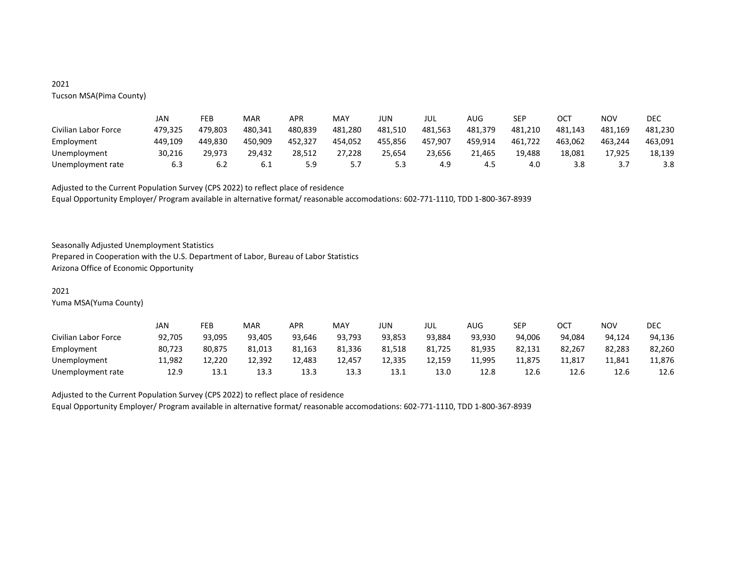# 2021 Tucson MSA(Pima County)

|                      | JAN     | FEB     | MAR     | APR     | MAY     | JUN     | JUL     | AUG     | SEP     | OCT     | <b>NOV</b> | <b>DEC</b> |
|----------------------|---------|---------|---------|---------|---------|---------|---------|---------|---------|---------|------------|------------|
| Civilian Labor Force | 479.325 | 479.803 | 480.341 | 480.839 | 481,280 | 481.510 | 481.563 | 481.379 | 481.210 | 481.143 | 481.169    | 481.230    |
| Employment           | 449.109 | 449.830 | 450.909 | 452.327 | 454,052 | 455.856 | 457.907 | 459,914 | 461,722 | 463.062 | 463.244    | 463,091    |
| Unemployment         | 30,216  | 29.973  | 29.432  | 28.512  | 27,228  | 25.654  | 23.656  | 21.465  | 19,488  | 18,081  | 17,925     | 18,139     |
| Unemployment rate    | 6.3     | 6.2     | 0. L    | 5.9     | 5.7     | 5.3     | 4.9     | 4.5     | 4.0     | 3.8     |            | 3.8        |

Adjusted to the Current Population Survey (CPS 2022) to reflect place of residence Equal Opportunity Employer/ Program available in alternative format/ reasonable accomodations: 602-771-1110, TDD 1-800-367-8939

Seasonally Adjusted Unemployment Statistics

Prepared in Cooperation with the U.S. Department of Labor, Bureau of Labor Statistics Arizona Office of Economic Opportunity

### 2021

Yuma MSA(Yuma County)

|                      | JAN    | FEB    | MAR    | <b>APR</b> | MAY    | JUN    | JUL    | AUG    | <b>SED</b><br>ᅴ | OCT    | <b>NOV</b> | DEC    |
|----------------------|--------|--------|--------|------------|--------|--------|--------|--------|-----------------|--------|------------|--------|
| Civilian Labor Force | 92.705 | 93.095 | 93.405 | 93.646     | 93.793 | 93.853 | 93.884 | 93.930 | 94.006          | 94.084 | 94.124     | 94.136 |
| Employment           | 80.723 | 80.875 | 81,013 | 81,163     | 81,336 | 81,518 | 81,725 | 81,935 | 82,131          | 82.267 | 82,283     | 82,260 |
| Unemployment         | 11,982 | 12,220 | 12.392 | 12,483     | 12,457 | 12,335 | 12,159 | 11,995 | 11.875          | 11,817 | 11,841     | 11,876 |
| Unemployment rate    | 12.9   | 13.1   | 13.3   | 13.3       | 13.3   | 13.1   | 13.0   | 12.8   | 12.6            | 12.6   | 12.6       | 12.6   |

Adjusted to the Current Population Survey (CPS 2022) to reflect place of residence

Equal Opportunity Employer/ Program available in alternative format/ reasonable accomodations: 602-771-1110, TDD 1-800-367-8939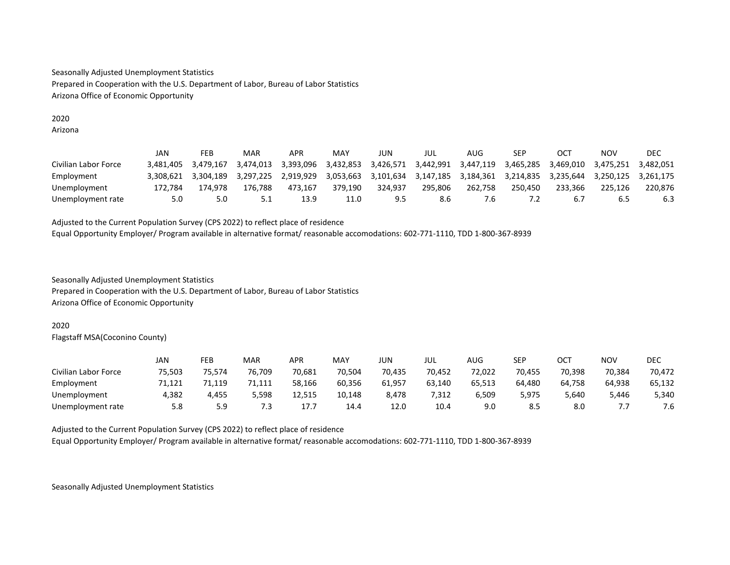Seasonally Adjusted Unemployment Statistics Prepared in Cooperation with the U.S. Department of Labor, Bureau of Labor Statistics Arizona Office of Economic Opportunity

### 2020 Arizona

|                      | JAN       | FEB       | MAR       | APR       | MAY       | JUN       | JUL       | AUG       | SEP       | <b>OCT</b> | NOV       | DEC       |
|----------------------|-----------|-----------|-----------|-----------|-----------|-----------|-----------|-----------|-----------|------------|-----------|-----------|
| Civilian Labor Force | 3.481.405 | 3.479.167 | 3.474.013 | 3.393.096 | 3.432.853 | 3.426.571 | 3.442.991 | 3.447.119 | 3.465.285 | 3.469.010  | 3.475.251 | 3.482.051 |
| Employment           | 3.308.621 | 3.304.189 | 3.297.225 | 2.919.929 | 3.053.663 | 3,101,634 | 3.147.185 | 3.184.361 | 3.214.835 | 3.235.644  | 3.250.125 | 3.261.175 |
| Unemployment         | 172.784   | 174.978   | 176.788   | 473.167   | 379.190   | 324.937   | 295.806   | 262.758   | 250.450   | 233.366    | 225.126   | 220.876   |
| Unemployment rate    | 5.0       | 5.0       |           | 13.9      | 11.0      | 9.5       | 8.6       | ′.б       |           | b.7        | 6.5       | 6.3       |

Adjusted to the Current Population Survey (CPS 2022) to reflect place of residence Equal Opportunity Employer/ Program available in alternative format/ reasonable accomodations: 602-771-1110, TDD 1-800-367-8939

Seasonally Adjusted Unemployment Statistics

Prepared in Cooperation with the U.S. Department of Labor, Bureau of Labor Statistics Arizona Office of Economic Opportunity

# 2020

Flagstaff MSA(Coconino County)

|                      | JAN    | FEB    | <b>MAR</b> | APR    | MAY    | JUN    | JUL    | AUG    | <b>SEP</b> | ост    | <b>NOV</b> | <b>DEC</b> |
|----------------------|--------|--------|------------|--------|--------|--------|--------|--------|------------|--------|------------|------------|
| Civilian Labor Force | 75.503 | 75.574 | 76.709     | 70.681 | 70.504 | 70.435 | 70.452 | 72,022 | 70.455     | 70.398 | 70.384     | 70,472     |
| Employment           | 71,121 | 71,119 | 71,111     | 58.166 | 60,356 | 61,957 | 63.140 | 65,513 | 64.480     | 64.758 | 64.938     | 65,132     |
| Unemployment         | 4,382  | 4.455  | 5.598      | 12.515 | 10,148 | 8.478  | 7.312  | 6,509  | 5,975      | 5.640  | 5.446      | 5,340      |
| Unemployment rate    | 5.8    | 5.9    | 7.3        | 17.7   | 14.4   | 12.0   | 10.4   | 9.0    | 8.5        | 8.0    | ,,,        | 7.6        |

Adjusted to the Current Population Survey (CPS 2022) to reflect place of residence

Equal Opportunity Employer/ Program available in alternative format/ reasonable accomodations: 602-771-1110, TDD 1-800-367-8939

Seasonally Adjusted Unemployment Statistics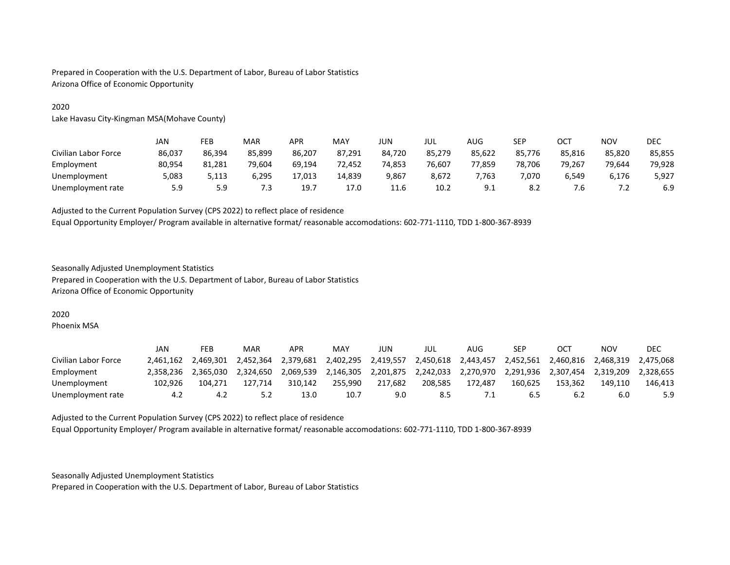Prepared in Cooperation with the U.S. Department of Labor, Bureau of Labor Statistics Arizona Office of Economic Opportunity

### 2020

Lake Havasu City-Kingman MSA(Mohave County)

|                      | JAN    | FEB    | <b>MAR</b> | APR    | MAY    | JUN    | JUL    | AUG    | SEP    | ост    | <b>NOV</b> | DEC    |
|----------------------|--------|--------|------------|--------|--------|--------|--------|--------|--------|--------|------------|--------|
| Civilian Labor Force | 86,037 | 86.394 | 85,899     | 86.207 | 87,291 | 84.720 | 85.279 | 85,622 | 85,776 | 85.816 | 85,820     | 85,855 |
| Employment           | 80.954 | 81.281 | 79.604     | 69.194 | 72,452 | 74,853 | 76.607 | 77,859 | 78,706 | 79.267 | 79.644     | 79,928 |
| Unemployment         | 5,083  | 5.113  | 6.295      | 17.013 | 14,839 | 9,867  | 8.672  | 7,763  | 7.070  | 5,549  | 6.176      | 5,927  |
| Unemployment rate    | 5.9    | 5.9    | ر .        | 19.1   | 17.0   | 11.6   | 10.2   | 9.1    | 8.2    | '.ხ    | $\cdot$    | 6.9    |

Adjusted to the Current Population Survey (CPS 2022) to reflect place of residence

Equal Opportunity Employer/ Program available in alternative format/ reasonable accomodations: 602-771-1110, TDD 1-800-367-8939

### Seasonally Adjusted Unemployment Statistics

Prepared in Cooperation with the U.S. Department of Labor, Bureau of Labor Statistics Arizona Office of Economic Opportunity

### 2020

Phoenix MSA

|                      | JAN       | FEB       | MAR       | APR       | MAY       | JUN       | JUL       | AUG       | SEP       | OCT       | <b>NOV</b> | DEC       |
|----------------------|-----------|-----------|-----------|-----------|-----------|-----------|-----------|-----------|-----------|-----------|------------|-----------|
| Civilian Labor Force | 2.461.162 | 2.469.301 | 2.452.364 | 2.379.681 | 2.402.295 | 2,419,557 | 2,450,618 | 2.443.457 | 2,452,561 | 2.460.816 | 2.468.319  | 2.475.068 |
| Employment           | 2.358.236 | 2.365.030 | 2.324.650 | 2.069.539 | 2.146.305 | 2.201.875 | 2,242,033 | 2.270.970 | 2.291.936 | 2.307.454 | 2.319.209  | 2.328.655 |
| Unemployment         | 102.926   | 104.271   | 127.714   | 310.142   | 255.990   | 217.682   | 208.585   | 172.487   | 160.625   | 153.362   | 149.110    | 146.413   |
| Unemployment rate    | 4.2       | 4.2       |           | 13.0      | 10.7      | 9.0       | 8.5       |           | 6.5       | 6.2       | 6.0        | 5.9       |

Adjusted to the Current Population Survey (CPS 2022) to reflect place of residence Equal Opportunity Employer/ Program available in alternative format/ reasonable accomodations: 602-771-1110, TDD 1-800-367-8939

Seasonally Adjusted Unemployment Statistics

Prepared in Cooperation with the U.S. Department of Labor, Bureau of Labor Statistics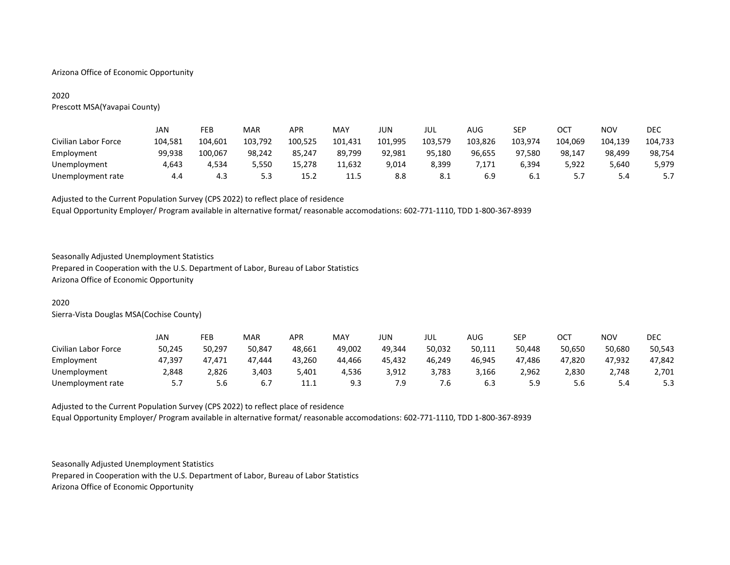### Arizona Office of Economic Opportunity

# 2020

Prescott MSA(Yavapai County)

|                      | JAN     | FEB     | MAR     | <b>APR</b> | MAY     | JUN     | JUL     | AUG     | <b>SEP</b> | OCT     | <b>NOV</b> | DEC     |
|----------------------|---------|---------|---------|------------|---------|---------|---------|---------|------------|---------|------------|---------|
| Civilian Labor Force | 104,581 | 104,601 | 103,792 | 100,525    | 101,431 | 101,995 | 103,579 | 103,826 | 103.974    | 104,069 | 104,139    | 104,733 |
| Employment           | 99.938  | 100,067 | 98,242  | 85.247     | 89,799  | 92,981  | 95.180  | 96,655  | 97,580     | 98.147  | 98,499     | 98,754  |
| Unemployment         | 4.643   | 4.534   | 5,550   | 15.278     | 11,632  | 9,014   | 8,399   | 7,171   | 6,394      | 5,922   | 5,640      | 5,979   |
| Unemployment rate    | 4.4     | 4.3     | 5.3     | 15.2       | 11.5    | 8.8     | -8.1    | 6.9     | -6.1       | 5.7     | 5.4        |         |

Adjusted to the Current Population Survey (CPS 2022) to reflect place of residence

Equal Opportunity Employer/ Program available in alternative format/ reasonable accomodations: 602-771-1110, TDD 1-800-367-8939

# Seasonally Adjusted Unemployment Statistics

Prepared in Cooperation with the U.S. Department of Labor, Bureau of Labor Statistics Arizona Office of Economic Opportunity

### 2020

Sierra-Vista Douglas MSA(Cochise County)

|                      | JAN       | FEB    | <b>MAR</b> | APR    | MAY    | JUN    | jul    | AUG    | SEP    | ост    | <b>NOV</b> | DEC    |
|----------------------|-----------|--------|------------|--------|--------|--------|--------|--------|--------|--------|------------|--------|
| Civilian Labor Force | 50.245    | 50.297 | 50.847     | 48.661 | 49.002 | 49.344 | 50.032 | 50.111 | 50.448 | 50.650 | 50.680     | 50,543 |
| Employment           | 47.397    | 47,471 | 47.444     | 43.260 | 44.466 | 45.432 | 46.249 | 46.945 | 47.486 | 47.820 | 47.932     | 47.842 |
| Unemployment         | 2.848     | 2.826  | 3.403      | 5.401  | 4.536  | 3,912  | 3.783  | 3.166  | 2.962  | 2.830  | 2.748      | 2,701  |
| Unemployment rate    | <u>.,</u> | 5.6    | b.,        | 11.1   | 9.3    | 7.9    | '.b    | 6.3    | 5.9    | 5.6    | 5.4        | 5.3    |

Adjusted to the Current Population Survey (CPS 2022) to reflect place of residence Equal Opportunity Employer/ Program available in alternative format/ reasonable accomodations: 602-771-1110, TDD 1-800-367-8939

Seasonally Adjusted Unemployment Statistics

Prepared in Cooperation with the U.S. Department of Labor, Bureau of Labor Statistics Arizona Office of Economic Opportunity